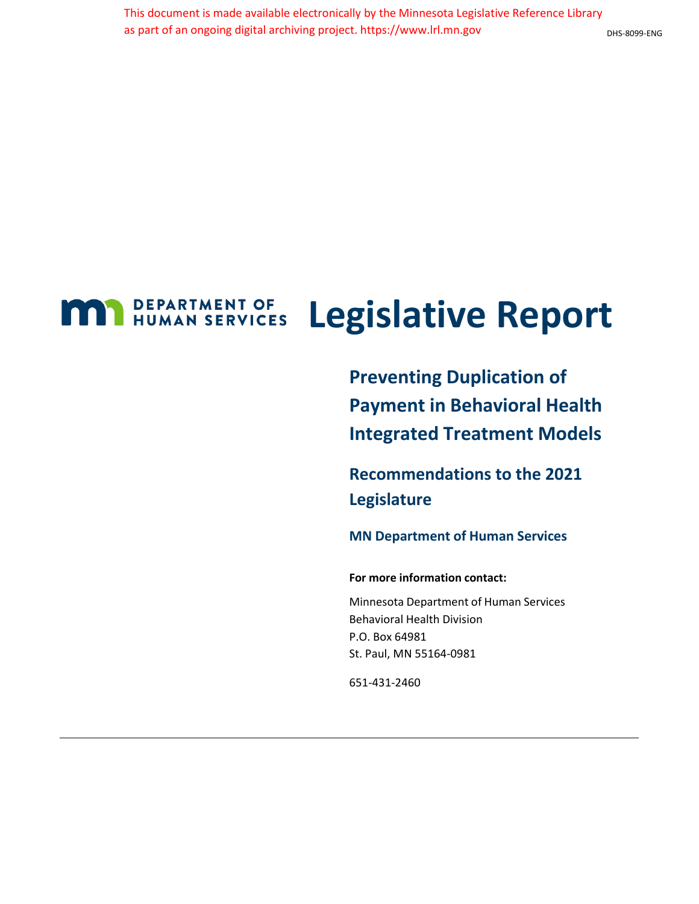#### DHS-8099-ENG

### **MAN** DEPARTMENT OF **Legislative Report**

**Preventing Duplication of Payment in Behavioral Health Integrated Treatment Models**

**Recommendations to the 2021 Legislature**

**MN Department of Human Services**

**For more information contact:**

Minnesota Department of Human Services Behavioral Health Division P.O. Box 64981 St. Paul, MN 55164-0981

651-431-2460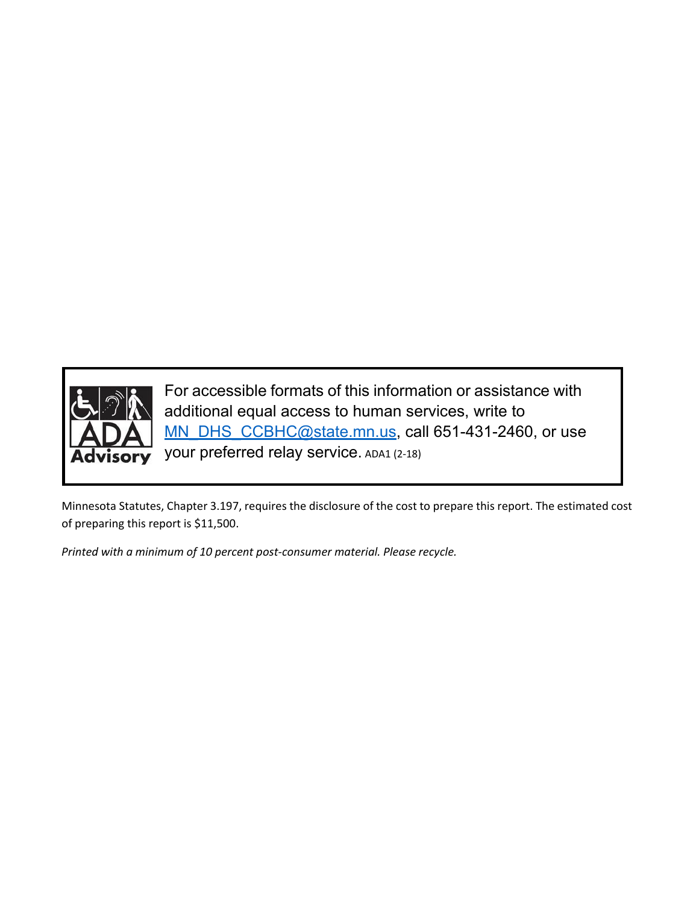

For accessible formats of this information or assistance with additional equal access to human services, write to [MN\\_DHS\\_CCBHC@state.mn.us,](mailto:MN_DHS_CCBHC@state.mn.us) call 651-431-2460, or use your preferred relay service. ADA1 (2-18)

Minnesota Statutes, Chapter 3.197, requires the disclosure of the cost to prepare this report. The estimated cost of preparing this report is \$11,500.

*Printed with a minimum of 10 percent post-consumer material. Please recycle.*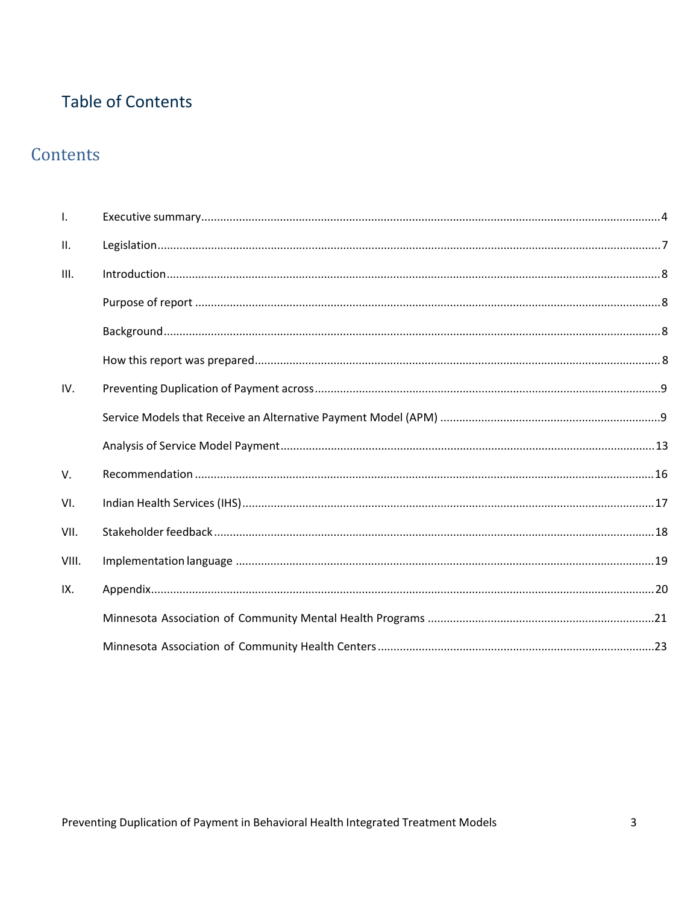### **Table of Contents**

### Contents

| $\mathbf{I}$ . |  |
|----------------|--|
| Ш.             |  |
| III.           |  |
|                |  |
|                |  |
|                |  |
| IV.            |  |
|                |  |
|                |  |
| V.             |  |
| VI.            |  |
| VII.           |  |
| VIII.          |  |
| IX.            |  |
|                |  |
|                |  |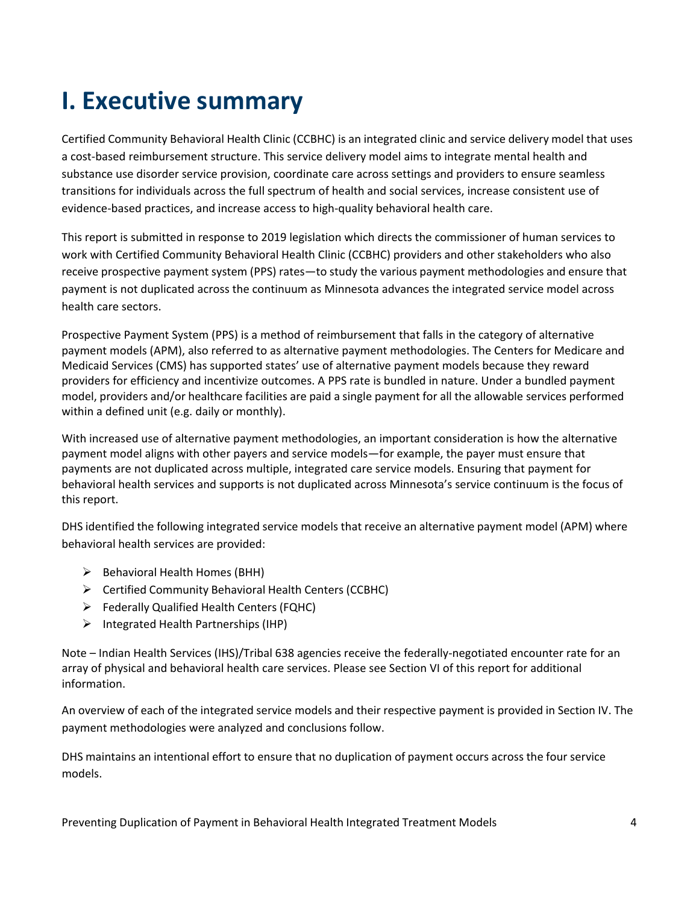## <span id="page-3-0"></span>**I. Executive summary**

Certified Community Behavioral Health Clinic (CCBHC) is an integrated clinic and service delivery model that uses a cost-based reimbursement structure. This service delivery model aims to integrate mental health and substance use disorder service provision, coordinate care across settings and providers to ensure seamless transitions for individuals across the full spectrum of health and social services, increase consistent use of evidence-based practices, and increase access to high-quality behavioral health care.

This report is submitted in response to 2019 legislation which directs the commissioner of human services to work with Certified Community Behavioral Health Clinic (CCBHC) providers and other stakeholders who also receive prospective payment system (PPS) rates—to study the various payment methodologies and ensure that payment is not duplicated across the continuum as Minnesota advances the integrated service model across health care sectors.

Prospective Payment System (PPS) is a method of reimbursement that falls in the category of alternative payment models (APM), also referred to as alternative payment methodologies. The Centers for Medicare and Medicaid Services (CMS) has supported states' use of alternative payment models because they reward providers for efficiency and incentivize outcomes. A PPS rate is bundled in nature. Under a bundled payment model, providers and/or healthcare facilities are paid a single payment for all the allowable services performed within a defined unit (e.g. daily or monthly).

With increased use of alternative payment methodologies, an important consideration is how the alternative payment model aligns with other payers and service models—for example, the payer must ensure that payments are not duplicated across multiple, integrated care service models. Ensuring that payment for behavioral health services and supports is not duplicated across Minnesota's service continuum is the focus of this report.

DHS identified the following integrated service models that receive an alternative payment model (APM) where behavioral health services are provided:

- $\triangleright$  Behavioral Health Homes (BHH)
- Certified Community Behavioral Health Centers (CCBHC)
- Federally Qualified Health Centers (FQHC)
- $\triangleright$  Integrated Health Partnerships (IHP)

Note – Indian Health Services (IHS)/Tribal 638 agencies receive the federally-negotiated encounter rate for an array of physical and behavioral health care services. Please see Section VI of this report for additional information.

An overview of each of the integrated service models and their respective payment is provided in Section IV. The payment methodologies were analyzed and conclusions follow.

DHS maintains an intentional effort to ensure that no duplication of payment occurs across the four service models.

Preventing Duplication of Payment in Behavioral Health Integrated Treatment Models 4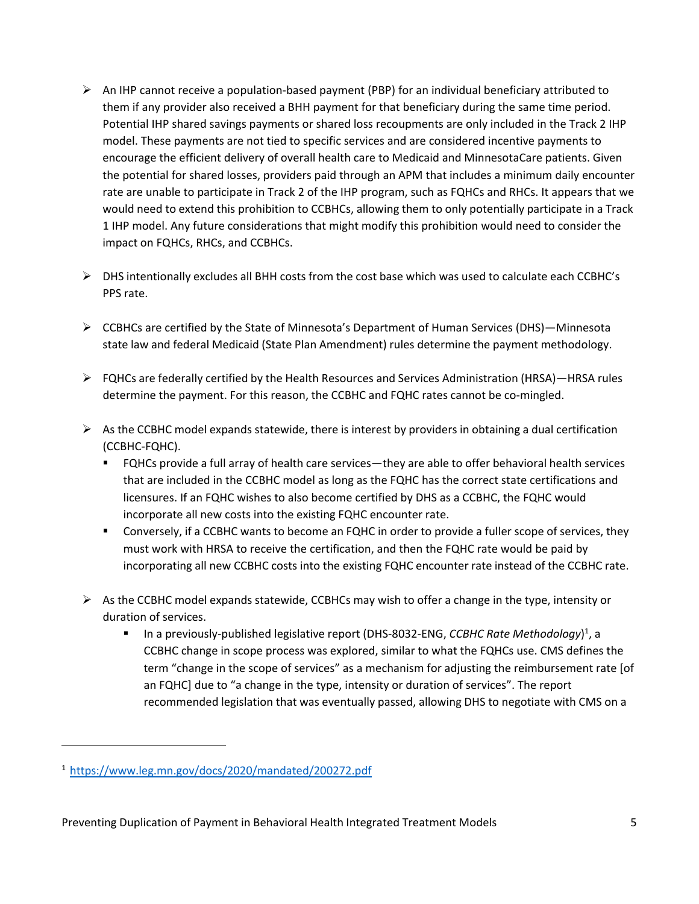- $\triangleright$  An IHP cannot receive a population-based payment (PBP) for an individual beneficiary attributed to them if any provider also received a BHH payment for that beneficiary during the same time period. Potential IHP shared savings payments or shared loss recoupments are only included in the Track 2 IHP model. These payments are not tied to specific services and are considered incentive payments to encourage the efficient delivery of overall health care to Medicaid and MinnesotaCare patients. Given the potential for shared losses, providers paid through an APM that includes a minimum daily encounter rate are unable to participate in Track 2 of the IHP program, such as FQHCs and RHCs. It appears that we would need to extend this prohibition to CCBHCs, allowing them to only potentially participate in a Track 1 IHP model. Any future considerations that might modify this prohibition would need to consider the impact on FQHCs, RHCs, and CCBHCs.
- DHS intentionally excludes all BHH costs from the cost base which was used to calculate each CCBHC's PPS rate.
- CCBHCs are certified by the State of Minnesota's Department of Human Services (DHS)—Minnesota state law and federal Medicaid (State Plan Amendment) rules determine the payment methodology.
- $\triangleright$  FQHCs are federally certified by the Health Resources and Services Administration (HRSA)—HRSA rules determine the payment. For this reason, the CCBHC and FQHC rates cannot be co-mingled.
- $\triangleright$  As the CCBHC model expands statewide, there is interest by providers in obtaining a dual certification (CCBHC-FQHC).
	- FQHCs provide a full array of health care services—they are able to offer behavioral health services that are included in the CCBHC model as long as the FQHC has the correct state certifications and licensures. If an FQHC wishes to also become certified by DHS as a CCBHC, the FQHC would incorporate all new costs into the existing FQHC encounter rate.
	- Conversely, if a CCBHC wants to become an FQHC in order to provide a fuller scope of services, they must work with HRSA to receive the certification, and then the FQHC rate would be paid by incorporating all new CCBHC costs into the existing FQHC encounter rate instead of the CCBHC rate.
- $\triangleright$  As the CCBHC model expands statewide, CCBHCs may wish to offer a change in the type, intensity or duration of services.
	- **The and a** previously-published legislative report (DHS-8032-ENG, *CCBHC Rate Methodology*[\)](#page-4-0)<sup>1</sup>, a CCBHC change in scope process was explored, similar to what the FQHCs use. CMS defines the term "change in the scope of services" as a mechanism for adjusting the reimbursement rate [of an FQHC] due to "a change in the type, intensity or duration of services". The report recommended legislation that was eventually passed, allowing DHS to negotiate with CMS on a

<span id="page-4-0"></span><sup>1</sup> <https://www.leg.mn.gov/docs/2020/mandated/200272.pdf>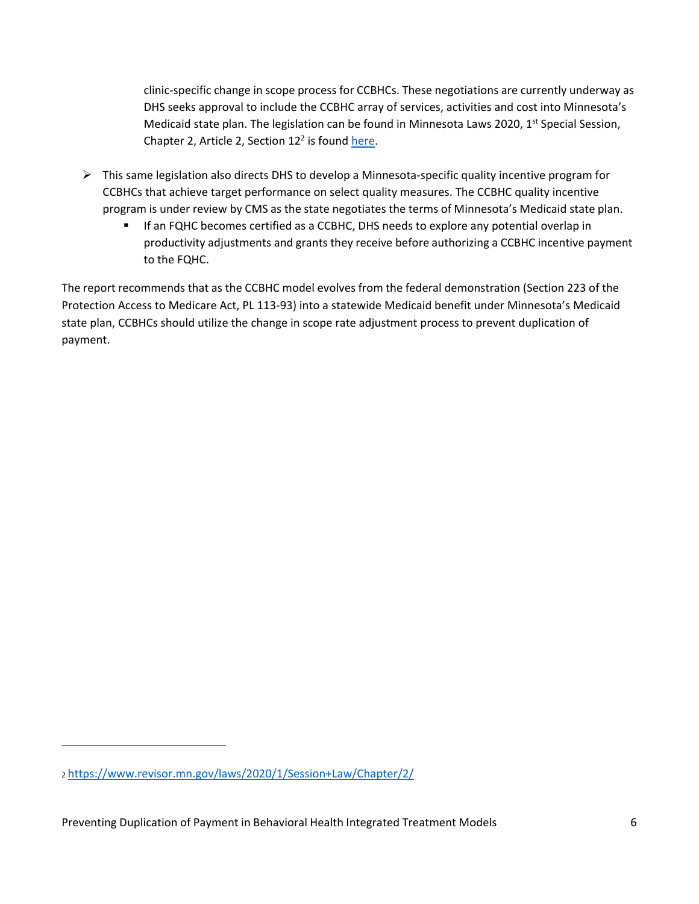clinic-specific change in scope process for CCBHCs. These negotiations are currently underway as DHS seeks approval to include the CCBHC array of services, activities and cost into Minnesota's Medicaid state plan. The legislation can be found in Minnesota Laws 2020,  $1<sup>st</sup>$  Special Session, Chapter 2, Article 2, Section  $12<sup>2</sup>$  is found here.

- <span id="page-5-0"></span> $\triangleright$  This same legislation also directs DHS to develop a Minnesota-specific quality incentive program for CCBHCs that achieve target performance on select quality measures. The CCBHC quality incentive program is under review by CMS as the state negotiates the terms of Minnesota's Medicaid state plan.
	- **IF an FQHC becomes certified as a CCBHC, DHS needs to explore any potential overlap in** productivity adjustments and grants they receive before authorizing a CCBHC incentive payment to the FQHC.

The report recommends that as the CCBHC model evolves from the federal demonstration (Section 223 of the Protection Access to Medicare Act, PL 113-93) into a statewide Medicaid benefit under Minnesota's Medicaid state plan, CCBHCs should utilize the change in scope rate adjustment process to prevent duplication of payment.

<sup>2</sup> [https://www.revisor.mn.gov/laws/2020/1/Session+Law/Chapter/2/](https://www.revisor.mn.gov/laws/2020/1/Session%2BLaw/Chapter/2/)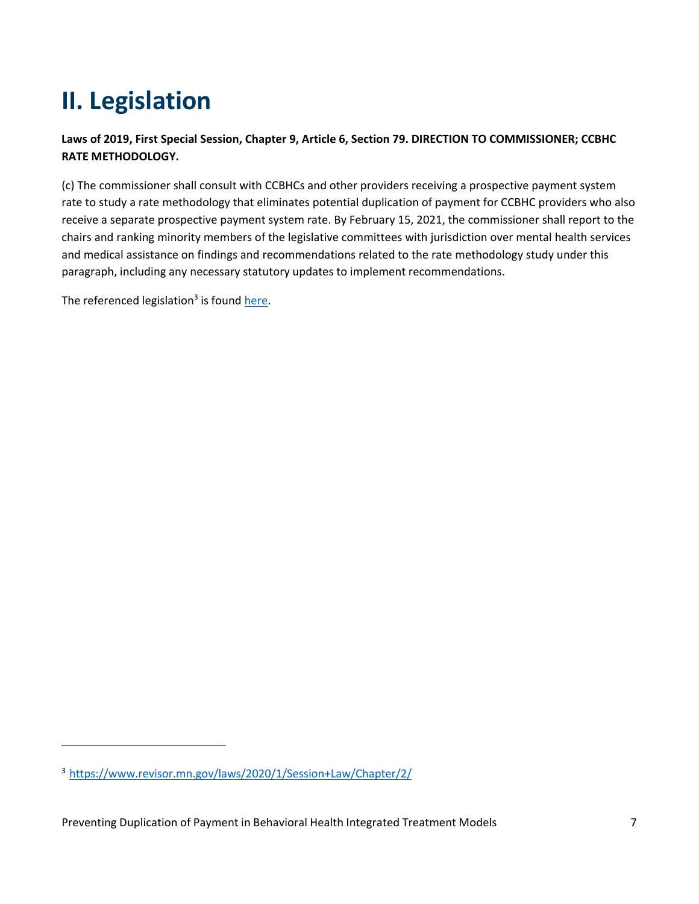# <span id="page-6-0"></span>**II. Legislation**

#### **Laws of 2019, First Special Session, Chapter 9, Article 6, Section 79. DIRECTION TO COMMISSIONER; CCBHC RATE METHODOLOGY.**

(c) The commissioner shall consult with CCBHCs and other providers receiving a prospective payment system rate to study a rate methodology that eliminates potential duplication of payment for CCBHC providers who also receive a separate prospective payment system rate. By February 15, 2021, the commissioner shall report to the chairs and ranking minority members of the legislative committees with jurisdiction over mental health services and medical assistance on findings and recommendations related to the rate methodology study under this paragraph, including any necessary statutory updates to implement recommendations.

The referenced legislation<sup>3</sup> is found here.

<sup>3</sup> [https://www.revisor.mn.gov/laws/2020/1/Session+Law/Chapter/2/](https://www.revisor.mn.gov/laws/2020/1/Session%2BLaw/Chapter/2/)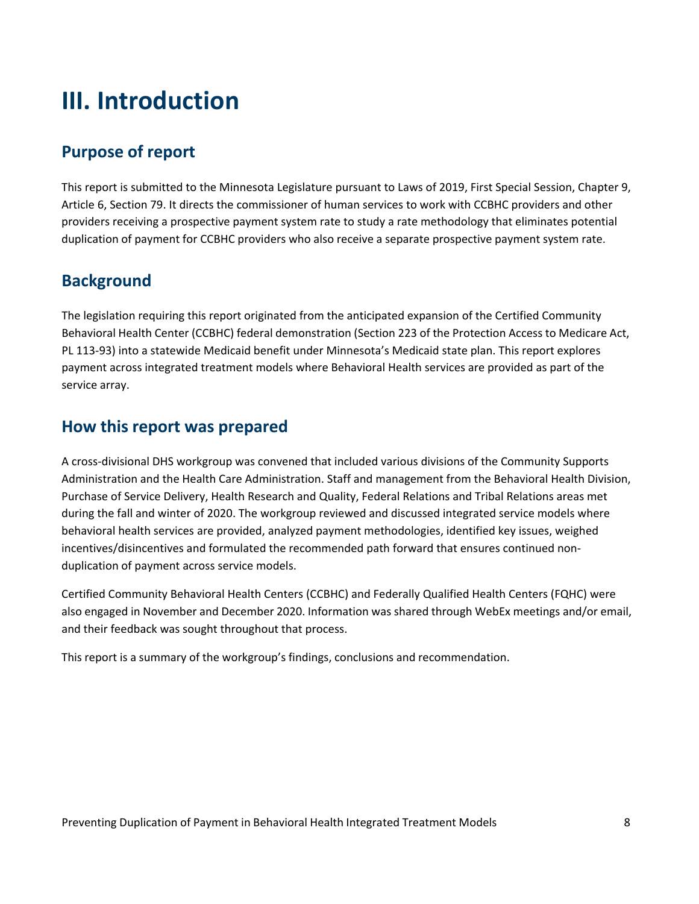## <span id="page-7-0"></span>**III. Introduction**

### <span id="page-7-1"></span>**Purpose of report**

This report is submitted to the Minnesota Legislature pursuant to Laws of 2019, First Special Session, Chapter 9, Article 6, Section 79. It directs the commissioner of human services to work with CCBHC providers and other providers receiving a prospective payment system rate to study a rate methodology that eliminates potential duplication of payment for CCBHC providers who also receive a separate prospective payment system rate.

### <span id="page-7-2"></span>**Background**

The legislation requiring this report originated from the anticipated expansion of the Certified Community Behavioral Health Center (CCBHC) federal demonstration (Section 223 of the Protection Access to Medicare Act, PL 113-93) into a statewide Medicaid benefit under Minnesota's Medicaid state plan. This report explores payment across integrated treatment models where Behavioral Health services are provided as part of the service array.

### <span id="page-7-3"></span>**How this report was prepared**

A cross-divisional DHS workgroup was convened that included various divisions of the Community Supports Administration and the Health Care Administration. Staff and management from the Behavioral Health Division, Purchase of Service Delivery, Health Research and Quality, Federal Relations and Tribal Relations areas met during the fall and winter of 2020. The workgroup reviewed and discussed integrated service models where behavioral health services are provided, analyzed payment methodologies, identified key issues, weighed incentives/disincentives and formulated the recommended path forward that ensures continued nonduplication of payment across service models.

Certified Community Behavioral Health Centers (CCBHC) and Federally Qualified Health Centers (FQHC) were also engaged in November and December 2020. Information was shared through WebEx meetings and/or email, and their feedback was sought throughout that process.

This report is a summary of the workgroup's findings, conclusions and recommendation.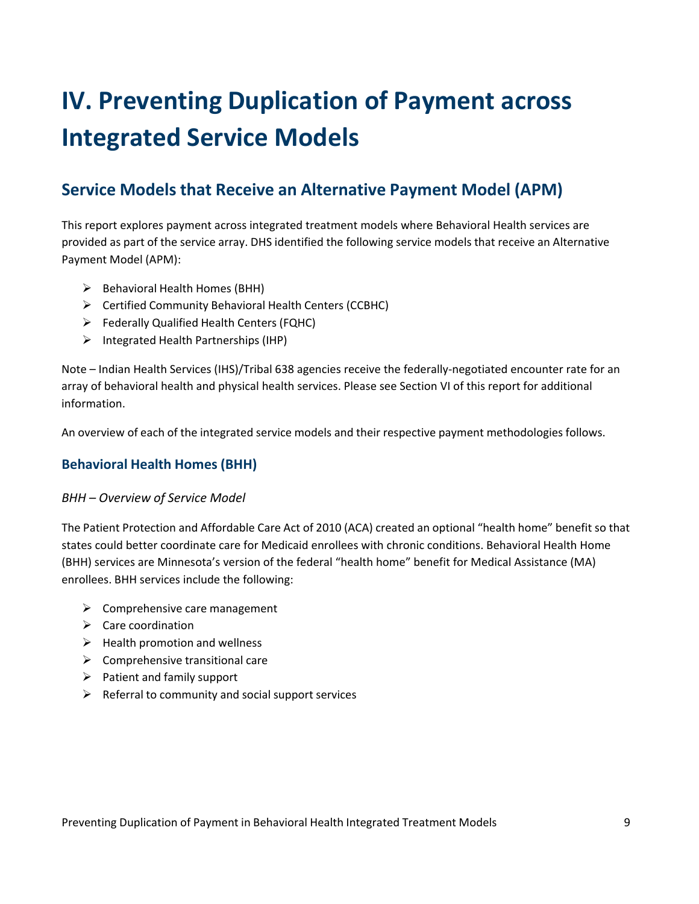# <span id="page-8-0"></span>**IV. Preventing Duplication of Payment across Integrated Service Models**

### <span id="page-8-1"></span>**Service Models that Receive an Alternative Payment Model (APM)**

This report explores payment across integrated treatment models where Behavioral Health services are provided as part of the service array. DHS identified the following service models that receive an Alternative Payment Model (APM):

- $\triangleright$  Behavioral Health Homes (BHH)
- Certified Community Behavioral Health Centers (CCBHC)
- Federally Qualified Health Centers (FQHC)
- $\triangleright$  Integrated Health Partnerships (IHP)

Note – Indian Health Services (IHS)/Tribal 638 agencies receive the federally-negotiated encounter rate for an array of behavioral health and physical health services. Please see Section VI of this report for additional information.

An overview of each of the integrated service models and their respective payment methodologies follows.

#### **Behavioral Health Homes (BHH)**

#### *BHH – Overview of Service Model*

The Patient Protection and Affordable Care Act of 2010 (ACA) created an optional "health home" benefit so that states could better coordinate care for Medicaid enrollees with chronic conditions. Behavioral Health Home (BHH) services are Minnesota's version of the federal "health home" benefit for Medical Assistance (MA) enrollees. BHH services include the following:

- $\triangleright$  Comprehensive care management
- $\triangleright$  Care coordination
- $\triangleright$  Health promotion and wellness
- $\triangleright$  Comprehensive transitional care
- $\triangleright$  Patient and family support
- $\triangleright$  Referral to community and social support services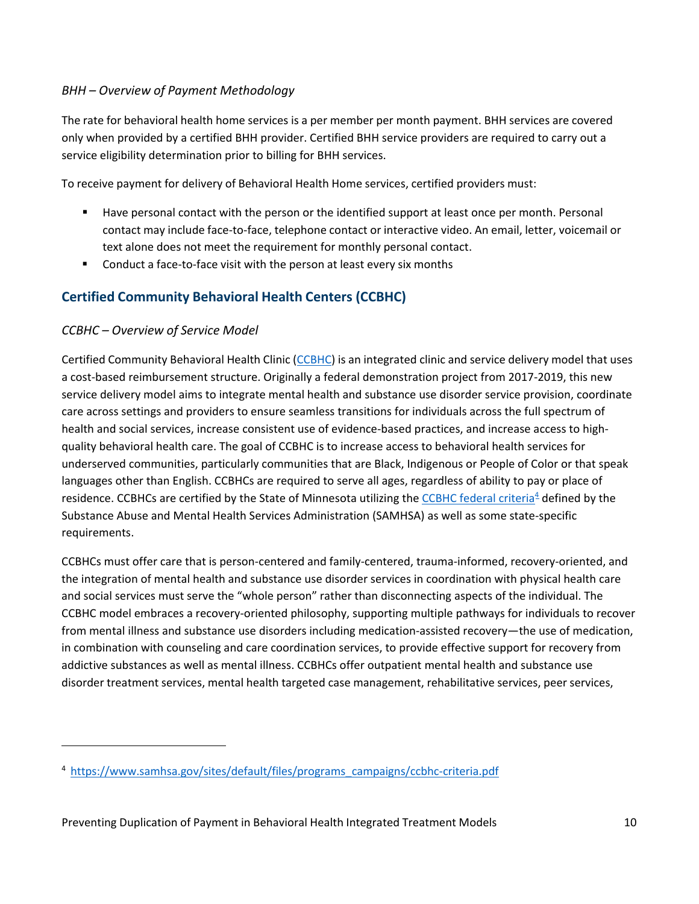#### *BHH – Overview of Payment Methodology*

The rate for behavioral health home services is a per member per month payment. BHH services are covered only when provided by a certified BHH provider. Certified BHH service providers are required to carry out a service eligibility determination prior to billing for BHH services.

To receive payment for delivery of Behavioral Health Home services, certified providers must:

- Have personal contact with the person or the identified support at least once per month. Personal contact may include face-to-face, telephone contact or interactive video. An email, letter, voicemail or text alone does not meet the requirement for monthly personal contact.
- **EXTER** Conduct a face-to-face visit with the person at least every six months

#### **Certified Community Behavioral Health Centers (CCBHC)**

#### *CCBHC – Overview of Service Model*

Certified Community Behavioral Health Clinic [\(CCBHC\)](https://mn.gov/dhs/partners-and-providers/policies-procedures/adult-mental-health/ccbhc/) is an integrated clinic and service delivery model that uses a cost-based reimbursement structure. Originally a federal demonstration project from 2017-2019, this new service delivery model aims to integrate mental health and substance use disorder service provision, coordinate care across settings and providers to ensure seamless transitions for individuals across the full spectrum of health and social services, increase consistent use of evidence-based practices, and increase access to highquality behavioral health care. The goal of CCBHC is to increase access to behavioral health services for underserved communities, particularly communities that are Black, Indigenous or People of Color or that speak languages other than English. CCBHCs are required to serve all ages, regardless of ability to pay or place of residence. CCBHCs are certified by the State of Minnesota utilizing the [CCBHC federal criteria](https://www.samhsa.gov/sites/default/files/programs_campaigns/ccbhc-criteria.pdf)<sup>[4](#page-9-0)</sup> defined by the Substance Abuse and Mental Health Services Administration (SAMHSA) as well as some state-specific requirements.

CCBHCs must offer care that is person-centered and family-centered, trauma-informed, recovery-oriented, and the integration of mental health and substance use disorder services in coordination with physical health care and social services must serve the "whole person" rather than disconnecting aspects of the individual. The CCBHC model embraces a recovery-oriented philosophy, supporting multiple pathways for individuals to recover from mental illness and substance use disorders including medication-assisted recovery—the use of medication, in combination with counseling and care coordination services, to provide effective support for recovery from addictive substances as well as mental illness. CCBHCs offer outpatient mental health and substance use disorder treatment services, mental health targeted case management, rehabilitative services, peer services,

<span id="page-9-0"></span><sup>4</sup> [https://www.samhsa.gov/sites/default/files/programs\\_campaigns/ccbhc-criteria.pdf](https://www.samhsa.gov/sites/default/files/programs_campaigns/ccbhc-criteria.pdf)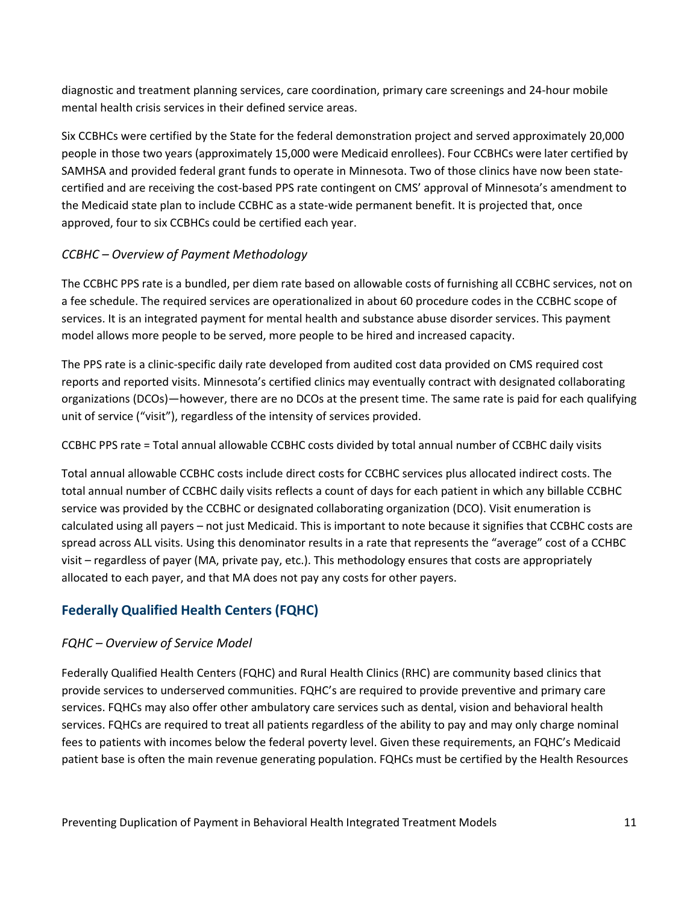diagnostic and treatment planning services, care coordination, primary care screenings and 24-hour mobile mental health crisis services in their defined service areas.

Six CCBHCs were certified by the State for the federal demonstration project and served approximately 20,000 people in those two years (approximately 15,000 were Medicaid enrollees). Four CCBHCs were later certified by SAMHSA and provided federal grant funds to operate in Minnesota. Two of those clinics have now been statecertified and are receiving the cost-based PPS rate contingent on CMS' approval of Minnesota's amendment to the Medicaid state plan to include CCBHC as a state-wide permanent benefit. It is projected that, once approved, four to six CCBHCs could be certified each year.

#### *CCBHC – Overview of Payment Methodology*

The CCBHC PPS rate is a bundled, per diem rate based on allowable costs of furnishing all CCBHC services, not on a fee schedule. The required services are operationalized in about 60 procedure codes in the CCBHC scope of services. It is an integrated payment for mental health and substance abuse disorder services. This payment model allows more people to be served, more people to be hired and increased capacity.

The PPS rate is a clinic-specific daily rate developed from audited cost data provided on CMS required cost reports and reported visits. Minnesota's certified clinics may eventually contract with designated collaborating organizations (DCOs)—however, there are no DCOs at the present time. The same rate is paid for each qualifying unit of service ("visit"), regardless of the intensity of services provided.

CCBHC PPS rate = Total annual allowable CCBHC costs divided by total annual number of CCBHC daily visits

Total annual allowable CCBHC costs include direct costs for CCBHC services plus allocated indirect costs. The total annual number of CCBHC daily visits reflects a count of days for each patient in which any billable CCBHC service was provided by the CCBHC or designated collaborating organization (DCO). Visit enumeration is calculated using all payers – not just Medicaid. This is important to note because it signifies that CCBHC costs are spread across ALL visits. Using this denominator results in a rate that represents the "average" cost of a CCHBC visit – regardless of payer (MA, private pay, etc.). This methodology ensures that costs are appropriately allocated to each payer, and that MA does not pay any costs for other payers.

#### **Federally Qualified Health Centers (FQHC)**

#### *FQHC – Overview of Service Model*

Federally Qualified Health Centers (FQHC) and Rural Health Clinics (RHC) are community based clinics that provide services to underserved communities. FQHC's are required to provide preventive and primary care services. FQHCs may also offer other ambulatory care services such as dental, vision and behavioral health services. FQHCs are required to treat all patients regardless of the ability to pay and may only charge nominal fees to patients with incomes below the federal poverty level. Given these requirements, an FQHC's Medicaid patient base is often the main revenue generating population. FQHCs must be certified by the Health Resources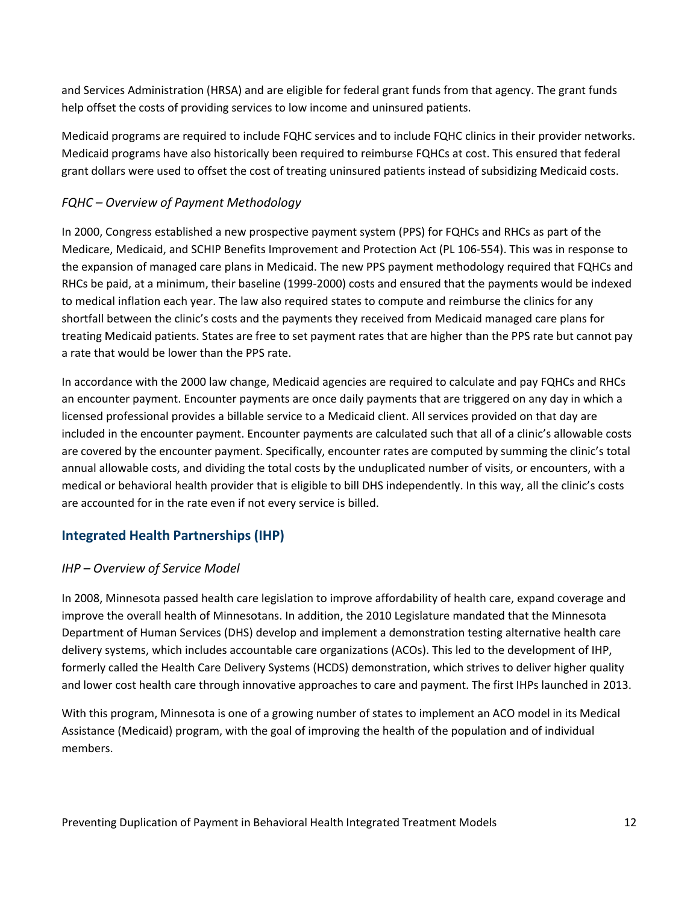and Services Administration (HRSA) and are eligible for federal grant funds from that agency. The grant funds help offset the costs of providing services to low income and uninsured patients.

Medicaid programs are required to include FQHC services and to include FQHC clinics in their provider networks. Medicaid programs have also historically been required to reimburse FQHCs at cost. This ensured that federal grant dollars were used to offset the cost of treating uninsured patients instead of subsidizing Medicaid costs.

#### *FQHC – Overview of Payment Methodology*

In 2000, Congress established a new prospective payment system (PPS) for FQHCs and RHCs as part of the Medicare, Medicaid, and SCHIP Benefits Improvement and Protection Act (PL 106-554). This was in response to the expansion of managed care plans in Medicaid. The new PPS payment methodology required that FQHCs and RHCs be paid, at a minimum, their baseline (1999-2000) costs and ensured that the payments would be indexed to medical inflation each year. The law also required states to compute and reimburse the clinics for any shortfall between the clinic's costs and the payments they received from Medicaid managed care plans for treating Medicaid patients. States are free to set payment rates that are higher than the PPS rate but cannot pay a rate that would be lower than the PPS rate.

In accordance with the 2000 law change, Medicaid agencies are required to calculate and pay FQHCs and RHCs an encounter payment. Encounter payments are once daily payments that are triggered on any day in which a licensed professional provides a billable service to a Medicaid client. All services provided on that day are included in the encounter payment. Encounter payments are calculated such that all of a clinic's allowable costs are covered by the encounter payment. Specifically, encounter rates are computed by summing the clinic's total annual allowable costs, and dividing the total costs by the unduplicated number of visits, or encounters, with a medical or behavioral health provider that is eligible to bill DHS independently. In this way, all the clinic's costs are accounted for in the rate even if not every service is billed.

#### **Integrated Health Partnerships (IHP)**

#### *IHP – Overview of Service Model*

In 2008, Minnesota passed health care legislation to improve affordability of health care, expand coverage and improve the overall health of Minnesotans. In addition, the 2010 Legislature mandated that the Minnesota Department of Human Services (DHS) develop and implement a demonstration testing alternative health care delivery systems, which includes accountable care organizations (ACOs). This led to the development of IHP, formerly called the Health Care Delivery Systems (HCDS) demonstration, which strives to deliver higher quality and lower cost health care through innovative approaches to care and payment. The first IHPs launched in 2013.

With this program, Minnesota is one of a growing number of states to implement an ACO model in its Medical Assistance (Medicaid) program, with the goal of improving the health of the population and of individual members.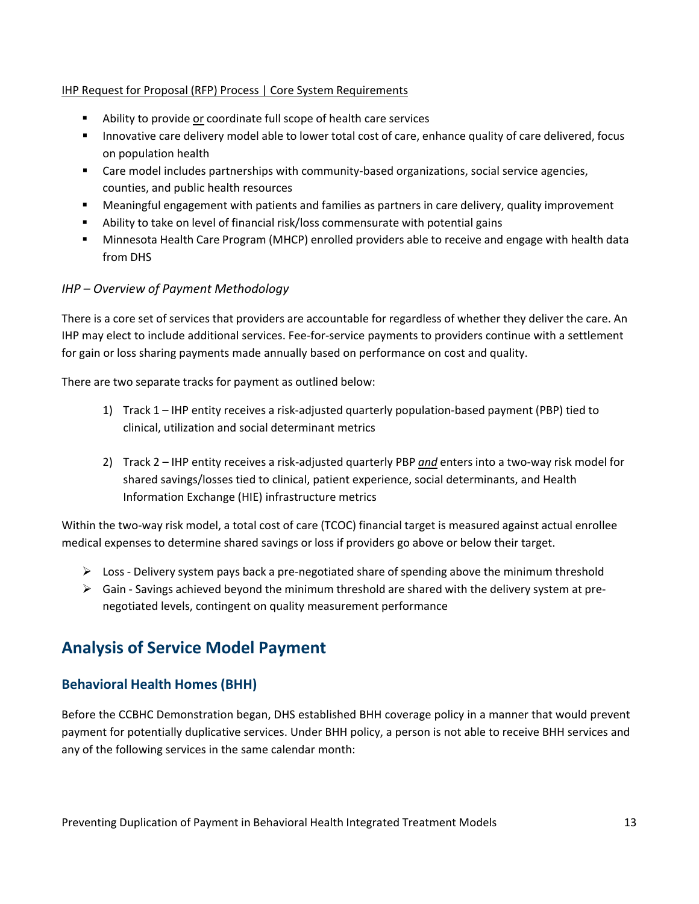#### IHP Request for Proposal (RFP) Process | Core System Requirements

- Ability to provide or coordinate full scope of health care services
- **Innovative care delivery model able to lower total cost of care, enhance quality of care delivered, focus** on population health
- Care model includes partnerships with community-based organizations, social service agencies, counties, and public health resources
- Meaningful engagement with patients and families as partners in care delivery, quality improvement
- Ability to take on level of financial risk/loss commensurate with potential gains
- Minnesota Health Care Program (MHCP) enrolled providers able to receive and engage with health data from DHS

#### *IHP – Overview of Payment Methodology*

There is a core set of services that providers are accountable for regardless of whether they deliver the care. An IHP may elect to include additional services. Fee-for-service payments to providers continue with a settlement for gain or loss sharing payments made annually based on performance on cost and quality.

There are two separate tracks for payment as outlined below:

- 1) Track 1 IHP entity receives a risk-adjusted quarterly population-based payment (PBP) tied to clinical, utilization and social determinant metrics
- 2) Track 2 IHP entity receives a risk-adjusted quarterly PBP *and* enters into a two-way risk model for shared savings/losses tied to clinical, patient experience, social determinants, and Health Information Exchange (HIE) infrastructure metrics

Within the two-way risk model, a total cost of care (TCOC) financial target is measured against actual enrollee medical expenses to determine shared savings or loss if providers go above or below their target.

- $\triangleright$  Loss Delivery system pays back a pre-negotiated share of spending above the minimum threshold
- $\triangleright$  Gain Savings achieved beyond the minimum threshold are shared with the delivery system at prenegotiated levels, contingent on quality measurement performance

### <span id="page-12-0"></span>**Analysis of Service Model Payment**

#### **Behavioral Health Homes (BHH)**

Before the CCBHC Demonstration began, DHS established BHH coverage policy in a manner that would prevent payment for potentially duplicative services. Under BHH policy, a person is not able to receive BHH services and any of the following services in the same calendar month: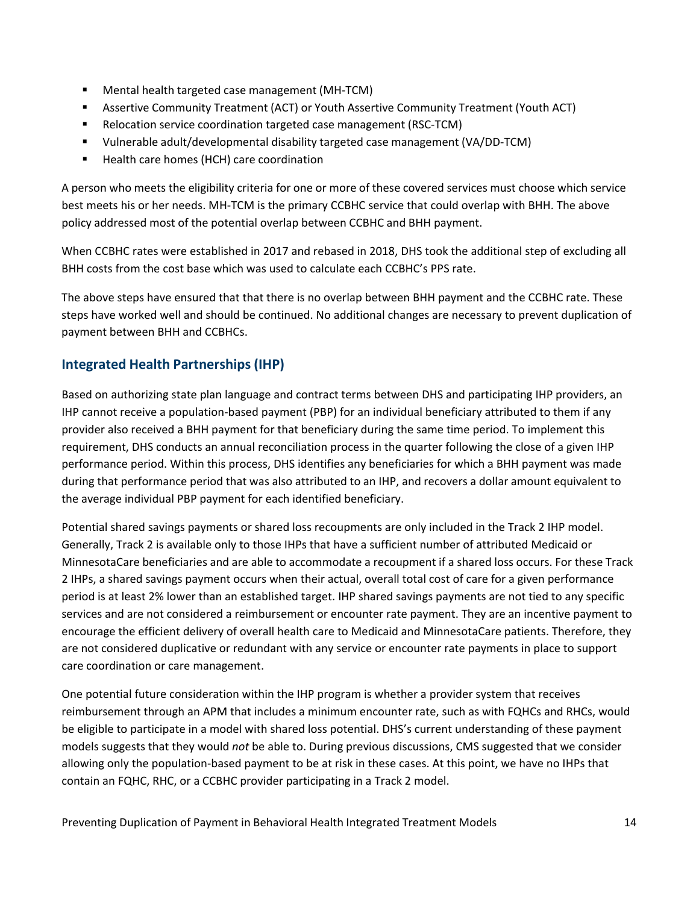- Mental health targeted case management (MH-TCM)
- Assertive Community Treatment (ACT) or Youth Assertive Community Treatment (Youth ACT)
- **E** Relocation service coordination targeted case management (RSC-TCM)
- Vulnerable adult/developmental disability targeted case management (VA/DD-TCM)
- Health care homes (HCH) care coordination

A person who meets the eligibility criteria for one or more of these covered services must choose which service best meets his or her needs. MH-TCM is the primary CCBHC service that could overlap with BHH. The above policy addressed most of the potential overlap between CCBHC and BHH payment.

When CCBHC rates were established in 2017 and rebased in 2018, DHS took the additional step of excluding all BHH costs from the cost base which was used to calculate each CCBHC's PPS rate.

The above steps have ensured that that there is no overlap between BHH payment and the CCBHC rate. These steps have worked well and should be continued. No additional changes are necessary to prevent duplication of payment between BHH and CCBHCs.

#### **Integrated Health Partnerships (IHP)**

Based on authorizing state plan language and contract terms between DHS and participating IHP providers, an IHP cannot receive a population-based payment (PBP) for an individual beneficiary attributed to them if any provider also received a BHH payment for that beneficiary during the same time period. To implement this requirement, DHS conducts an annual reconciliation process in the quarter following the close of a given IHP performance period. Within this process, DHS identifies any beneficiaries for which a BHH payment was made during that performance period that was also attributed to an IHP, and recovers a dollar amount equivalent to the average individual PBP payment for each identified beneficiary.

Potential shared savings payments or shared loss recoupments are only included in the Track 2 IHP model. Generally, Track 2 is available only to those IHPs that have a sufficient number of attributed Medicaid or MinnesotaCare beneficiaries and are able to accommodate a recoupment if a shared loss occurs. For these Track 2 IHPs, a shared savings payment occurs when their actual, overall total cost of care for a given performance period is at least 2% lower than an established target. IHP shared savings payments are not tied to any specific services and are not considered a reimbursement or encounter rate payment. They are an incentive payment to encourage the efficient delivery of overall health care to Medicaid and MinnesotaCare patients. Therefore, they are not considered duplicative or redundant with any service or encounter rate payments in place to support care coordination or care management.

One potential future consideration within the IHP program is whether a provider system that receives reimbursement through an APM that includes a minimum encounter rate, such as with FQHCs and RHCs, would be eligible to participate in a model with shared loss potential. DHS's current understanding of these payment models suggests that they would *not* be able to. During previous discussions, CMS suggested that we consider allowing only the population-based payment to be at risk in these cases. At this point, we have no IHPs that contain an FQHC, RHC, or a CCBHC provider participating in a Track 2 model.

Preventing Duplication of Payment in Behavioral Health Integrated Treatment Models 14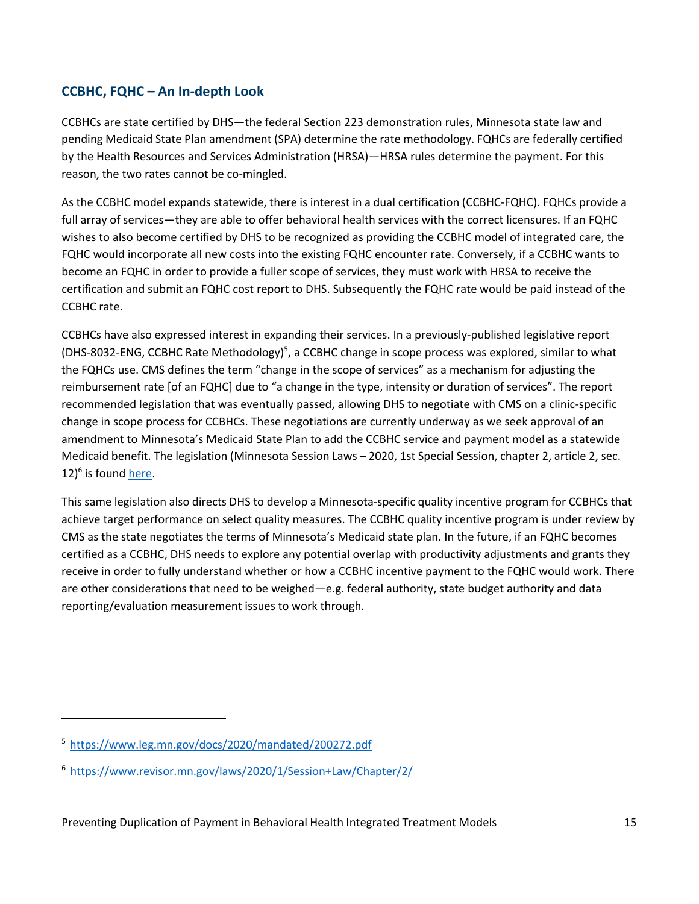#### **CCBHC, FQHC – An In-depth Look**

CCBHCs are state certified by DHS—the federal Section 223 demonstration rules, Minnesota state law and pending Medicaid State Plan amendment (SPA) determine the rate methodology. FQHCs are federally certified by the Health Resources and Services Administration (HRSA)—HRSA rules determine the payment. For this reason, the two rates cannot be co-mingled.

As the CCBHC model expands statewide, there is interest in a dual certification (CCBHC-FQHC). FQHCs provide a full array of services—they are able to offer behavioral health services with the correct licensures. If an FQHC wishes to also become certified by DHS to be recognized as providing the CCBHC model of integrated care, the FQHC would incorporate all new costs into the existing FQHC encounter rate. Conversely, if a CCBHC wants to become an FQHC in order to provide a fuller scope of services, they must work with HRSA to receive the certification and submit an FQHC cost report to DHS. Subsequently the FQHC rate would be paid instead of the CCBHC rate.

CCBHCs have also expressed interest in expanding their services. In a previously-published legislative report (DHS-8032-ENG, CCBHC Rate Methodology)<sup>5</sup>, a CCBHC change in scope process was explored, similar to what the FQHCs use. CMS defines the term "change in the scope of services" as a mechanism for adjusting the reimbursement rate [of an FQHC] due to "a change in the type, intensity or duration of services". The report recommended legislation that was eventually passed, allowing DHS to negotiate with CMS on a clinic-specific change in scope process for CCBHCs. These negotiations are currently underway as we seek approval of an amendment to Minnesota's Medicaid State Plan to add the CCBHC service and payment model as a statewide Medicaid benefit. The legislation (Minnesota Session Laws – 2020, 1st Special Session, chapter 2, article 2, sec. 12)<sup>6</sup> is found [here.](https://www.revisor.mn.gov/laws/2020/1/Session%2BLaw/Chapter/2/)

This same legislation also directs DHS to develop a Minnesota-specific quality incentive program for CCBHCs that achieve target performance on select quality measures. The CCBHC quality incentive program is under review by CMS as the state negotiates the terms of Minnesota's Medicaid state plan. In the future, if an FQHC becomes certified as a CCBHC, DHS needs to explore any potential overlap with productivity adjustments and grants they receive in order to fully understand whether or how a CCBHC incentive payment to the FQHC would work. There are other considerations that need to be weighed—e.g. federal authority, state budget authority and data reporting/evaluation measurement issues to work through.

<span id="page-14-0"></span><sup>5</sup> <https://www.leg.mn.gov/docs/2020/mandated/200272.pdf>

<span id="page-14-1"></span><sup>6</sup> [https://www.revisor.mn.gov/laws/2020/1/Session+Law/Chapter/2/](https://www.revisor.mn.gov/laws/2020/1/Session%2BLaw/Chapter/2/)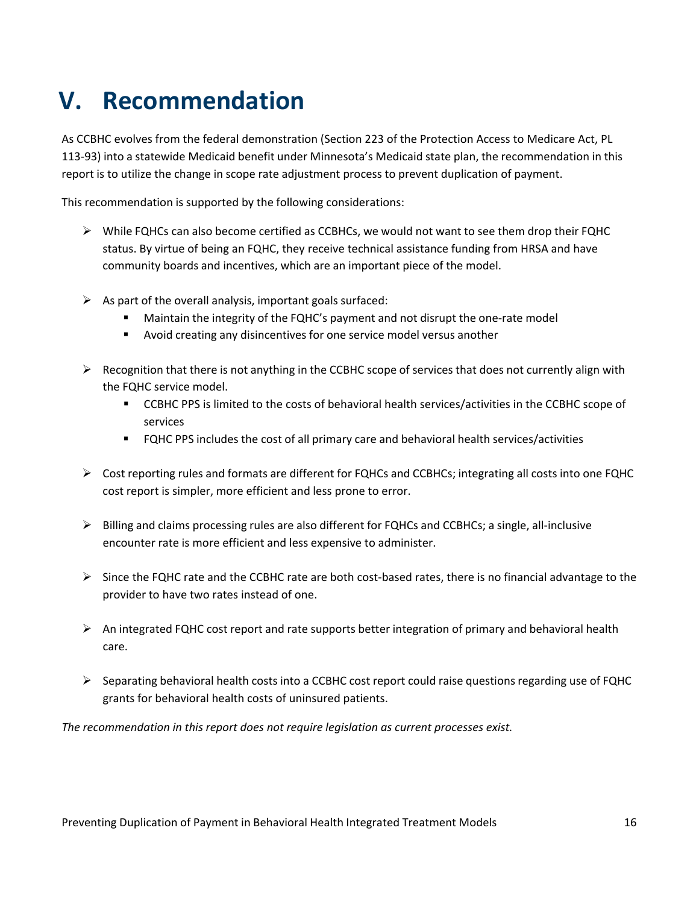# <span id="page-15-0"></span>**V. Recommendation**

As CCBHC evolves from the federal demonstration (Section 223 of the Protection Access to Medicare Act, PL 113-93) into a statewide Medicaid benefit under Minnesota's Medicaid state plan, the recommendation in this report is to utilize the change in scope rate adjustment process to prevent duplication of payment.

This recommendation is supported by the following considerations:

- $\triangleright$  While FQHCs can also become certified as CCBHCs, we would not want to see them drop their FQHC status. By virtue of being an FQHC, they receive technical assistance funding from HRSA and have community boards and incentives, which are an important piece of the model.
- $\triangleright$  As part of the overall analysis, important goals surfaced:
	- Maintain the integrity of the FQHC's payment and not disrupt the one-rate model
	- Avoid creating any disincentives for one service model versus another
- $\triangleright$  Recognition that there is not anything in the CCBHC scope of services that does not currently align with the FQHC service model.
	- CCBHC PPS is limited to the costs of behavioral health services/activities in the CCBHC scope of services
	- FQHC PPS includes the cost of all primary care and behavioral health services/activities
- $\triangleright$  Cost reporting rules and formats are different for FQHCs and CCBHCs; integrating all costs into one FQHC cost report is simpler, more efficient and less prone to error.
- $\triangleright$  Billing and claims processing rules are also different for FQHCs and CCBHCs; a single, all-inclusive encounter rate is more efficient and less expensive to administer.
- $\triangleright$  Since the FQHC rate and the CCBHC rate are both cost-based rates, there is no financial advantage to the provider to have two rates instead of one.
- $\triangleright$  An integrated FQHC cost report and rate supports better integration of primary and behavioral health care.
- $\triangleright$  Separating behavioral health costs into a CCBHC cost report could raise questions regarding use of FQHC grants for behavioral health costs of uninsured patients.

*The recommendation in this report does not require legislation as current processes exist.*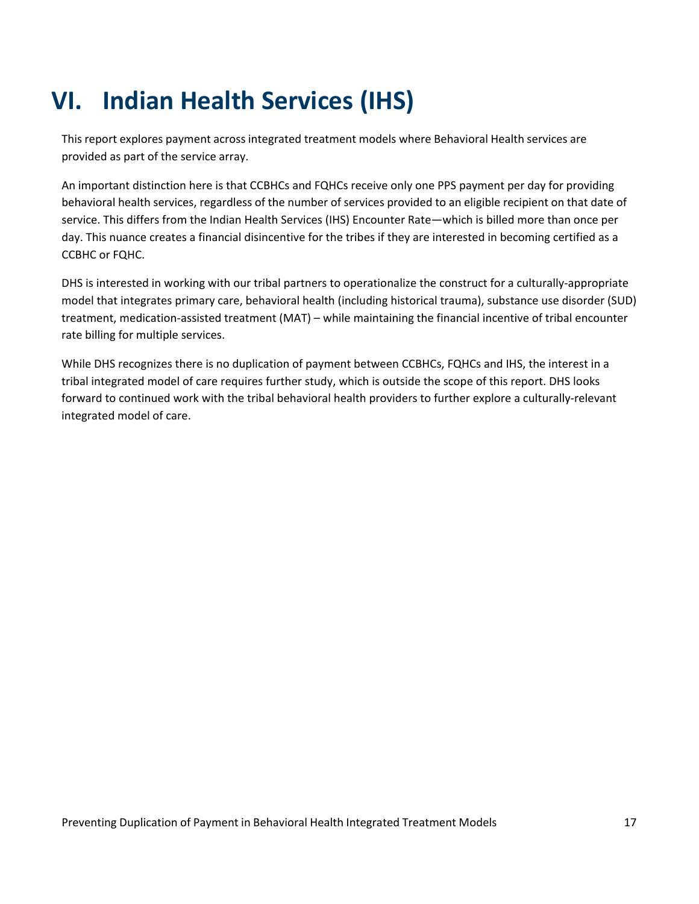# <span id="page-16-0"></span>**VI. Indian Health Services (IHS)**

This report explores payment across integrated treatment models where Behavioral Health services are provided as part of the service array.

An important distinction here is that CCBHCs and FQHCs receive only one PPS payment per day for providing behavioral health services, regardless of the number of services provided to an eligible recipient on that date of service. This differs from the Indian Health Services (IHS) Encounter Rate—which is billed more than once per day. This nuance creates a financial disincentive for the tribes if they are interested in becoming certified as a CCBHC or FQHC.

DHS is interested in working with our tribal partners to operationalize the construct for a culturally-appropriate model that integrates primary care, behavioral health (including historical trauma), substance use disorder (SUD) treatment, medication-assisted treatment (MAT) – while maintaining the financial incentive of tribal encounter rate billing for multiple services.

While DHS recognizes there is no duplication of payment between CCBHCs, FQHCs and IHS, the interest in a tribal integrated model of care requires further study, which is outside the scope of this report. DHS looks forward to continued work with the tribal behavioral health providers to further explore a culturally-relevant integrated model of care.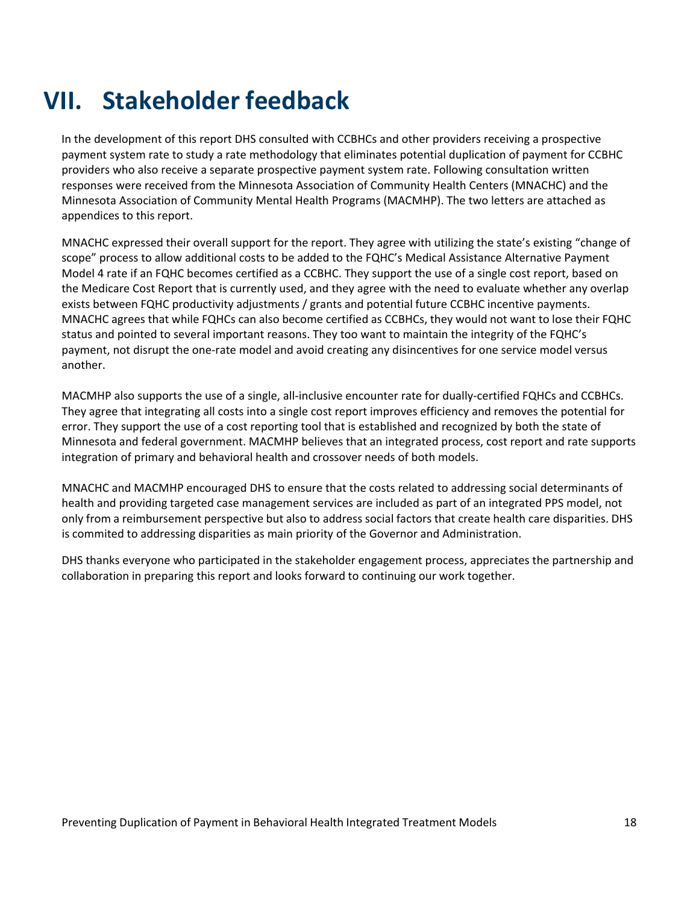# <span id="page-17-0"></span>**VII. Stakeholder feedback**

In the development of this report DHS consulted with CCBHCs and other providers receiving a prospective payment system rate to study a rate methodology that eliminates potential duplication of payment for CCBHC providers who also receive a separate prospective payment system rate. Following consultation written responses were received from the Minnesota Association of Community Health Centers (MNACHC) and the Minnesota Association of Community Mental Health Programs (MACMHP). The two letters are attached as appendices to this report.

MNACHC expressed their overall support for the report. They agree with utilizing the state's existing "change of scope" process to allow additional costs to be added to the FQHC's Medical Assistance Alternative Payment Model 4 rate if an FQHC becomes certified as a CCBHC. They support the use of a single cost report, based on the Medicare Cost Report that is currently used, and they agree with the need to evaluate whether any overlap exists between FQHC productivity adjustments / grants and potential future CCBHC incentive payments. MNACHC agrees that while FQHCs can also become certified as CCBHCs, they would not want to lose their FQHC status and pointed to several important reasons. They too want to maintain the integrity of the FQHC's payment, not disrupt the one-rate model and avoid creating any disincentives for one service model versus another.

MACMHP also supports the use of a single, all-inclusive encounter rate for dually-certified FQHCs and CCBHCs. They agree that integrating all costs into a single cost report improves efficiency and removes the potential for error. They support the use of a cost reporting tool that is established and recognized by both the state of Minnesota and federal government. MACMHP believes that an integrated process, cost report and rate supports integration of primary and behavioral health and crossover needs of both models.

MNACHC and MACMHP encouraged DHS to ensure that the costs related to addressing social determinants of health and providing targeted case management services are included as part of an integrated PPS model, not only from a reimbursement perspective but also to address social factors that create health care disparities. DHS is commited to addressing disparities as main priority of the Governor and Administration.

DHS thanks everyone who participated in the stakeholder engagement process, appreciates the partnership and collaboration in preparing this report and looks forward to continuing our work together.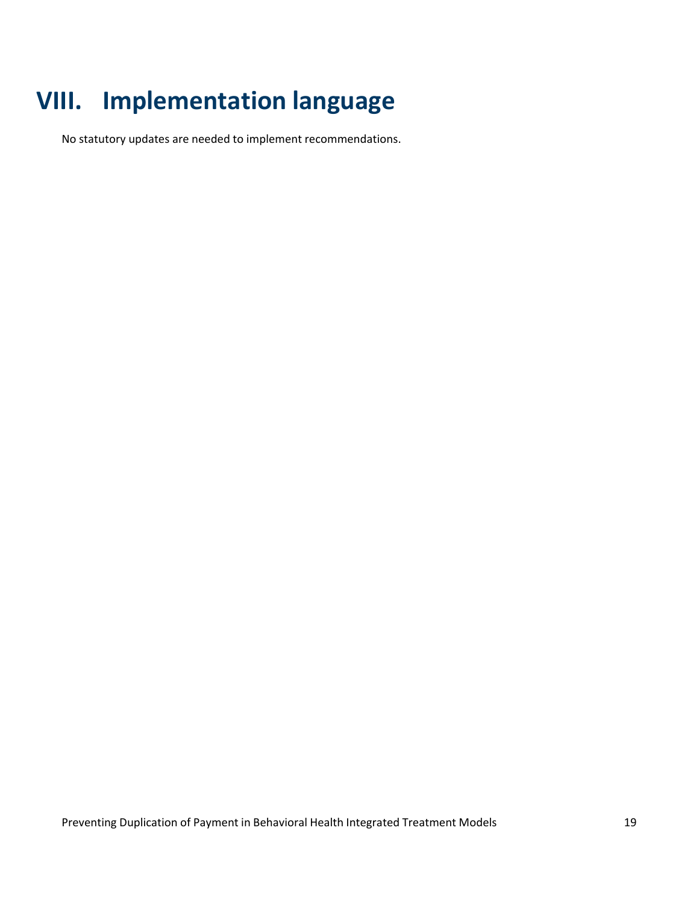# <span id="page-18-0"></span>**VIII. Implementation language**

No statutory updates are needed to implement recommendations.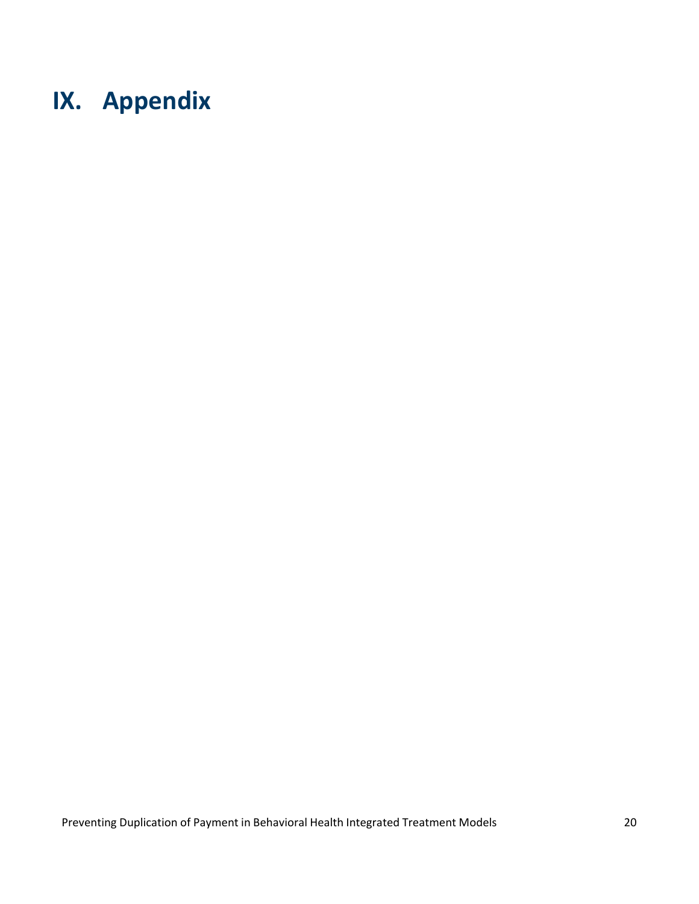# <span id="page-19-0"></span>**IX. Appendix**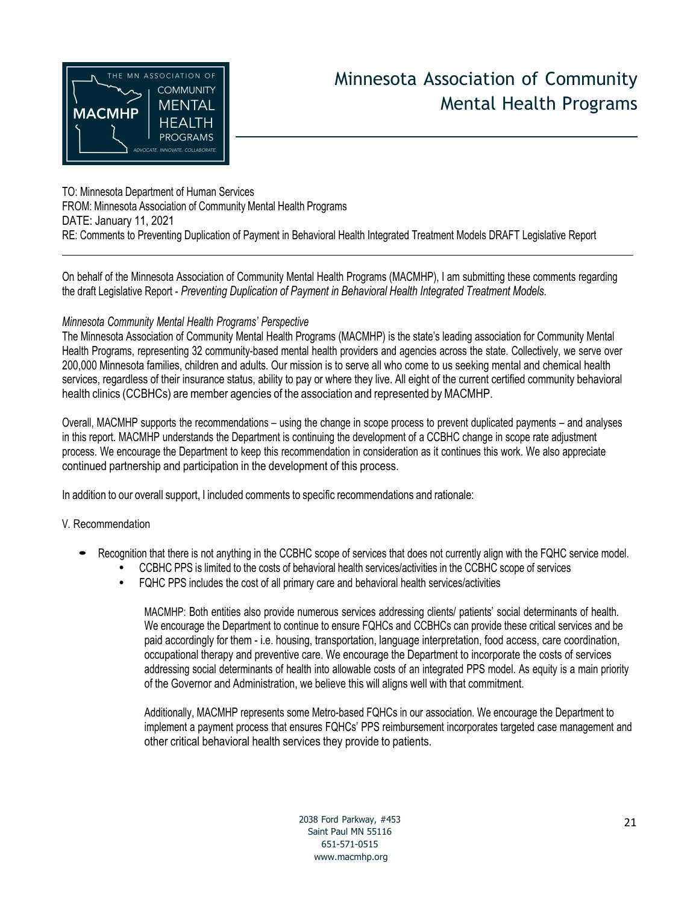<span id="page-20-0"></span>

## Minnesota Association of Community Mental Health Programs

TO: Minnesota Department of Human Services FROM: Minnesota Association of Community Mental Health Programs DATE: January 11, 2021 RE: Comments to Preventing Duplication of Payment in Behavioral Health Integrated Treatment Models DRAFT Legislative Report

On behalf of the Minnesota Association of Community Mental Health Programs (MACMHP), I am submitting these comments regarding the draft Legislative Report - *Preventing Duplication of Payment in Behavioral Health Integrated Treatment Models*.

#### *Minnesota Community Mental Health Programs' Perspective*

The Minnesota Association of Community Mental Health Programs (MACMHP) is the state's leading association for Community Mental Health Programs, representing 32 community-based mental health providers and agencies across the state. Collectively, we serve over 200,000 Minnesota families, children and adults. Our mission is to serve all who come to us seeking mental and chemical health services, regardless of their insurance status, ability to pay or where they live. All eight of the current certified community behavioral health clinics (CCBHCs) are member agencies of the association and represented by MACMHP.

Overall, MACMHP supports the recommendations – using the change in scope process to prevent duplicated payments – and analyses in this report. MACMHP understands the Department is continuing the development of a CCBHC change in scope rate adjustment process. We encourage the Department to keep this recommendation in consideration as it continues this work. We also appreciate continued partnership and participation in the development of this process.

In addition to our overall support, I included comments to specific recommendations and rationale:

#### V. Recommendation

- Recognition that there is not anything in the CCBHC scope of services that does not currently align with the FQHC service model.
	- CCBHC PPS is limited to the costs of behavioral health services/activities in the CCBHC scope of services
	- FQHC PPS includes the cost of all primary care and behavioral health services/activities

MACMHP: Both entities also provide numerous services addressing clients/ patients' social determinants of health. We encourage the Department to continue to ensure FQHCs and CCBHCs can provide these critical services and be paid accordingly for them - i.e. housing, transportation, language interpretation, food access, care coordination, occupational therapy and preventive care. We encourage the Department to incorporate the costs of services addressing social determinants of health into allowable costs of an integrated PPS model. As equity is a main priority of the Governor and Administration, we believe this will aligns well with that commitment.

Additionally, MACMHP represents some Metro-based FQHCs in our association. We encourage the Department to implement a payment process that ensures FQHCs' PPS reimbursement incorporates targeted case management and other critical behavioral health services they provide to patients.

> 2038 Ford Parkway, #453 Saint Paul MN 55116 651-571-0515 [www.macmhp.org](http://www.macmhp.org/)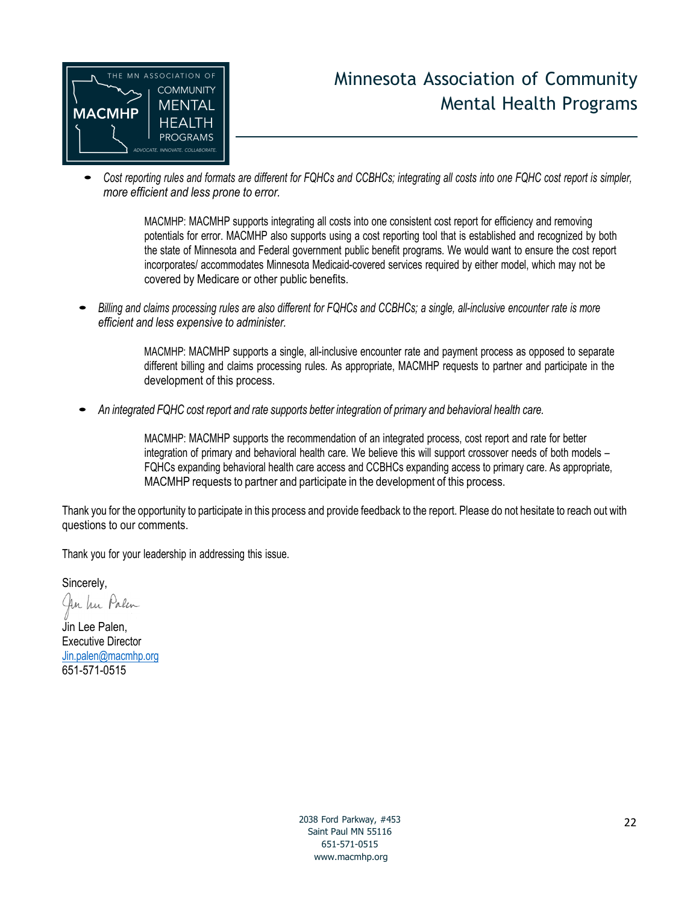<span id="page-21-0"></span>

### Minnesota Association of Community Mental Health Programs

• Cost reporting rules and formats are different for FQHCs and CCBHCs; integrating all costs into one FQHC cost report is simpler, *more efficient and less prone to error.*

> MACMHP: MACMHP supports integrating all costs into one consistent cost report for efficiency and removing potentials for error. MACMHP also supports using a cost reporting tool that is established and recognized by both the state of Minnesota and Federal government public benefit programs. We would want to ensure the cost report incorporates/ accommodates Minnesota Medicaid-covered services required by either model, which may not be covered by Medicare or other public benefits.

Billing and claims processing rules are also different for FQHCs and CCBHCs; a single, all-inclusive encounter rate is more *efficient and less expensive to administer.*

> MACMHP: MACMHP supports a single, all-inclusive encounter rate and payment process as opposed to separate different billing and claims processing rules. As appropriate, MACMHP requests to partner and participate in the development of this process.

*An integrated FQHC cost report and rate supports better integration of primary and behavioral health care.*

MACMHP: MACMHP supports the recommendation of an integrated process, cost report and rate for better integration of primary and behavioral health care. We believe this will support crossover needs of both models – FQHCs expanding behavioral health care access and CCBHCs expanding access to primary care. As appropriate, MACMHP requests to partner and participate in the development of this process.

Thank you for the opportunity to participate in this process and provide feedback to the report. Please do not hesitate to reach out with questions to our comments.

Thank you for your leadership in addressing this issue.

Sincerely,

An In Palen

Jin Lee Palen, Executive Director [Jin.palen@macmhp.org](mailto:Jin.palen@macmhp.org) 651-571-0515

> 2038 Ford Parkway, #453 Saint Paul MN 55116 651-571-0515 [www.macmhp.org](http://www.macmhp.org/)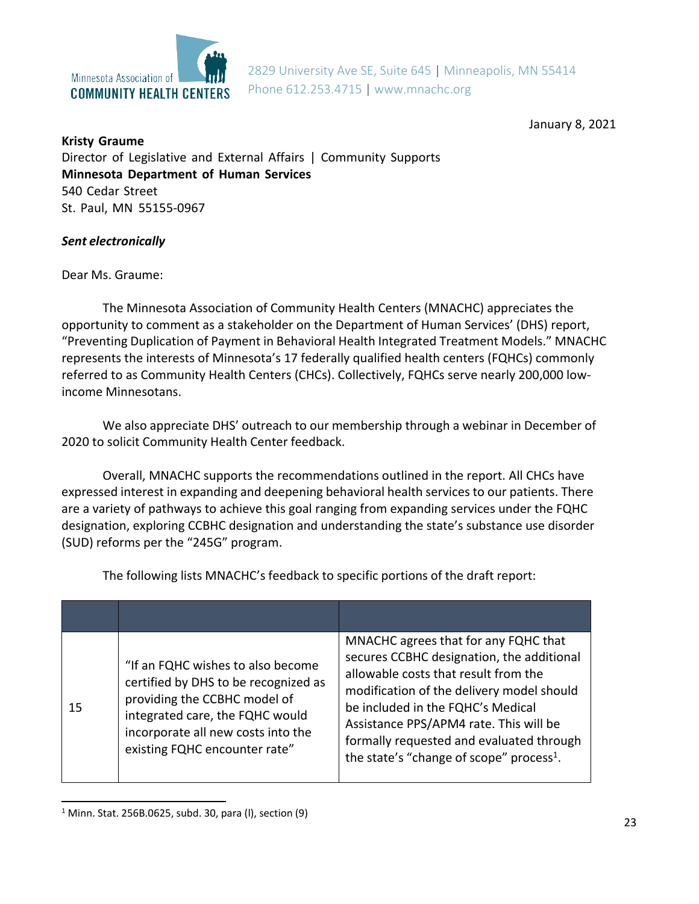

2829 University Ave SE, Suite 645 | Minneapolis, MN 55414 Phone 612.253.4715 | [www.mnachc.org](http://www.mnachc.org/)

January 8, 2021

**Kristy Graume** Director of Legislative and External Affairs | Community Supports **Minnesota Department of Human Services** 540 Cedar Street St. Paul, MN 55155-0967

#### *Sent electronically*

Dear Ms. Graume:

The Minnesota Association of Community Health Centers (MNACHC) appreciates the opportunity to comment as a stakeholder on the Department of Human Services' (DHS) report, "Preventing Duplication of Payment in Behavioral Health Integrated Treatment Models." MNACHC represents the interests of Minnesota's 17 federally qualified health centers (FQHCs) commonly referred to as Community Health Centers (CHCs). Collectively, FQHCs serve nearly 200,000 lowincome Minnesotans.

We also appreciate DHS' outreach to our membership through a webinar in December of 2020 to solicit Community Health Center feedback.

Overall, MNACHC supports the recommendations outlined in the report. All CHCs have expressed interest in expanding and deepening behavioral health services to our patients. There are a variety of pathways to achieve this goal ranging from expanding services under the FQHC designation, exploring CCBHC designation and understanding the state's substance use disorder (SUD) reforms per the "245G" program.

The following lists MNACHC's feedback to specific portions of the draft report:

| 15 | "If an FQHC wishes to also become<br>certified by DHS to be recognized as<br>providing the CCBHC model of<br>integrated care, the FQHC would<br>incorporate all new costs into the<br>existing FQHC encounter rate" | MNACHC agrees that for any FQHC that<br>secures CCBHC designation, the additional<br>allowable costs that result from the<br>modification of the delivery model should<br>be included in the FQHC's Medical<br>Assistance PPS/APM4 rate. This will be<br>formally requested and evaluated through<br>the state's "change of scope" process <sup>1</sup> . |
|----|---------------------------------------------------------------------------------------------------------------------------------------------------------------------------------------------------------------------|-----------------------------------------------------------------------------------------------------------------------------------------------------------------------------------------------------------------------------------------------------------------------------------------------------------------------------------------------------------|

 $1$  Minn. Stat. 256B.0625, subd. 30, para (I), section (9)  $23$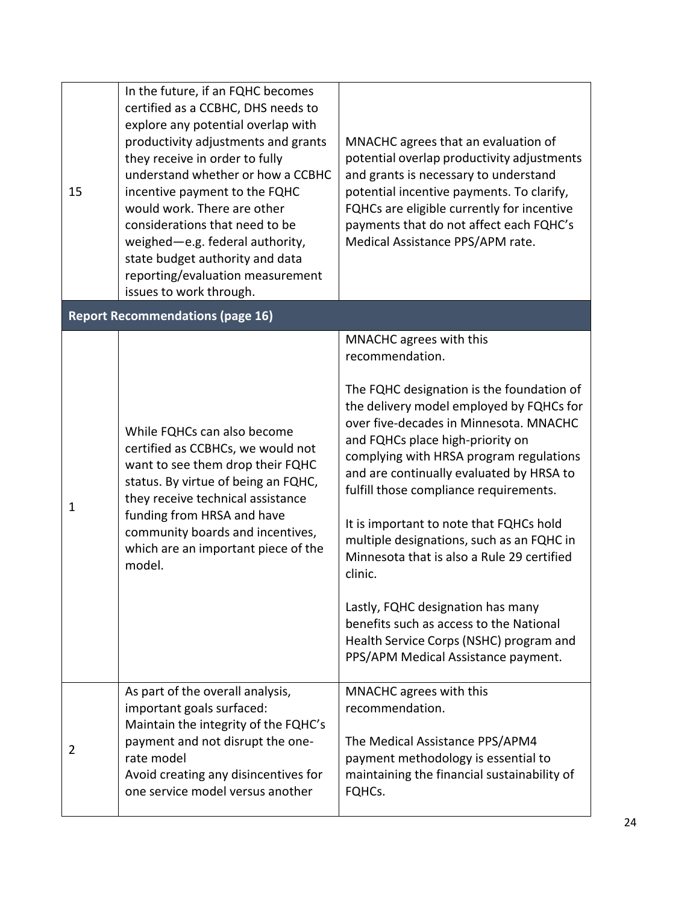| 15 | In the future, if an FQHC becomes<br>certified as a CCBHC, DHS needs to<br>explore any potential overlap with<br>productivity adjustments and grants<br>they receive in order to fully<br>understand whether or how a CCBHC<br>incentive payment to the FQHC<br>would work. There are other<br>considerations that need to be<br>weighed-e.g. federal authority,<br>state budget authority and data<br>reporting/evaluation measurement<br>issues to work through. | MNACHC agrees that an evaluation of<br>potential overlap productivity adjustments<br>and grants is necessary to understand<br>potential incentive payments. To clarify,<br>FQHCs are eligible currently for incentive<br>payments that do not affect each FQHC's<br>Medical Assistance PPS/APM rate.                                                                                                                                                                                                                                                                                                                                                                  |  |  |  |
|----|--------------------------------------------------------------------------------------------------------------------------------------------------------------------------------------------------------------------------------------------------------------------------------------------------------------------------------------------------------------------------------------------------------------------------------------------------------------------|-----------------------------------------------------------------------------------------------------------------------------------------------------------------------------------------------------------------------------------------------------------------------------------------------------------------------------------------------------------------------------------------------------------------------------------------------------------------------------------------------------------------------------------------------------------------------------------------------------------------------------------------------------------------------|--|--|--|
|    | <b>Report Recommendations (page 16)</b>                                                                                                                                                                                                                                                                                                                                                                                                                            |                                                                                                                                                                                                                                                                                                                                                                                                                                                                                                                                                                                                                                                                       |  |  |  |
| 1  | While FQHCs can also become<br>certified as CCBHCs, we would not<br>want to see them drop their FQHC<br>status. By virtue of being an FQHC,<br>they receive technical assistance<br>funding from HRSA and have<br>community boards and incentives,<br>which are an important piece of the<br>model.                                                                                                                                                                | MNACHC agrees with this<br>recommendation.<br>The FQHC designation is the foundation of<br>the delivery model employed by FQHCs for<br>over five-decades in Minnesota. MNACHC<br>and FQHCs place high-priority on<br>complying with HRSA program regulations<br>and are continually evaluated by HRSA to<br>fulfill those compliance requirements.<br>It is important to note that FQHCs hold<br>multiple designations, such as an FQHC in<br>Minnesota that is also a Rule 29 certified<br>clinic.<br>Lastly, FQHC designation has many<br>benefits such as access to the National<br>Health Service Corps (NSHC) program and<br>PPS/APM Medical Assistance payment. |  |  |  |
| 2  | As part of the overall analysis,<br>important goals surfaced:<br>Maintain the integrity of the FQHC's<br>payment and not disrupt the one-<br>rate model<br>Avoid creating any disincentives for<br>one service model versus another                                                                                                                                                                                                                                | MNACHC agrees with this<br>recommendation.<br>The Medical Assistance PPS/APM4<br>payment methodology is essential to<br>maintaining the financial sustainability of<br>FQHCs.                                                                                                                                                                                                                                                                                                                                                                                                                                                                                         |  |  |  |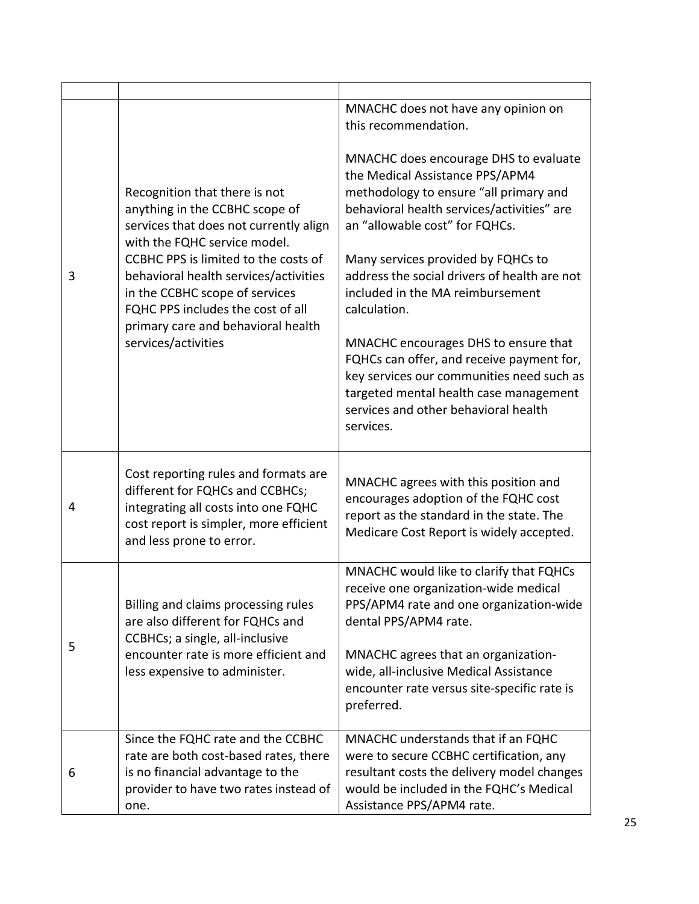| 3 | Recognition that there is not<br>anything in the CCBHC scope of<br>services that does not currently align<br>with the FQHC service model.<br>CCBHC PPS is limited to the costs of<br>behavioral health services/activities<br>in the CCBHC scope of services<br>FQHC PPS includes the cost of all<br>primary care and behavioral health<br>services/activities | MNACHC does not have any opinion on<br>this recommendation.<br>MNACHC does encourage DHS to evaluate<br>the Medical Assistance PPS/APM4<br>methodology to ensure "all primary and<br>behavioral health services/activities" are<br>an "allowable cost" for FQHCs.<br>Many services provided by FQHCs to<br>address the social drivers of health are not<br>included in the MA reimbursement<br>calculation.<br>MNACHC encourages DHS to ensure that<br>FQHCs can offer, and receive payment for,<br>key services our communities need such as<br>targeted mental health case management<br>services and other behavioral health<br>services. |
|---|----------------------------------------------------------------------------------------------------------------------------------------------------------------------------------------------------------------------------------------------------------------------------------------------------------------------------------------------------------------|----------------------------------------------------------------------------------------------------------------------------------------------------------------------------------------------------------------------------------------------------------------------------------------------------------------------------------------------------------------------------------------------------------------------------------------------------------------------------------------------------------------------------------------------------------------------------------------------------------------------------------------------|
| 4 | Cost reporting rules and formats are<br>different for FQHCs and CCBHCs;<br>integrating all costs into one FQHC<br>cost report is simpler, more efficient<br>and less prone to error.                                                                                                                                                                           | MNACHC agrees with this position and<br>encourages adoption of the FQHC cost<br>report as the standard in the state. The<br>Medicare Cost Report is widely accepted.                                                                                                                                                                                                                                                                                                                                                                                                                                                                         |
| 5 | Billing and claims processing rules<br>are also different for FQHCs and<br>CCBHCs; a single, all-inclusive<br>encounter rate is more efficient and<br>less expensive to administer.                                                                                                                                                                            | MNACHC would like to clarify that FQHCs<br>receive one organization-wide medical<br>PPS/APM4 rate and one organization-wide<br>dental PPS/APM4 rate.<br>MNACHC agrees that an organization-<br>wide, all-inclusive Medical Assistance<br>encounter rate versus site-specific rate is<br>preferred.                                                                                                                                                                                                                                                                                                                                           |
| 6 | Since the FQHC rate and the CCBHC<br>rate are both cost-based rates, there<br>is no financial advantage to the<br>provider to have two rates instead of<br>one.                                                                                                                                                                                                | MNACHC understands that if an FQHC<br>were to secure CCBHC certification, any<br>resultant costs the delivery model changes<br>would be included in the FQHC's Medical<br>Assistance PPS/APM4 rate.                                                                                                                                                                                                                                                                                                                                                                                                                                          |